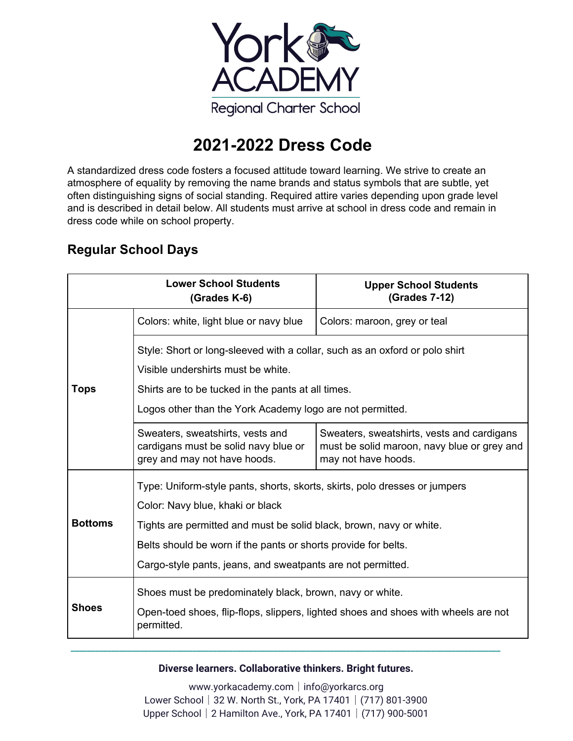

# **2021-2022 Dress Code**

A standardized dress code fosters a focused attitude toward learning. We strive to create an atmosphere of equality by removing the name brands and status symbols that are subtle, yet often distinguishing signs of social standing. Required attire varies depending upon grade level and is described in detail below. All students must arrive at school in dress code and remain in dress code while on school property.

### **Regular School Days**

| <b>Lower School Students</b><br>(Grades K-6) |                                                                                                                                                                         | <b>Upper School Students</b><br>(Grades 7-12)                                                                    |  |
|----------------------------------------------|-------------------------------------------------------------------------------------------------------------------------------------------------------------------------|------------------------------------------------------------------------------------------------------------------|--|
| Tops                                         | Colors: white, light blue or navy blue                                                                                                                                  | Colors: maroon, grey or teal                                                                                     |  |
|                                              | Style: Short or long-sleeved with a collar, such as an oxford or polo shirt<br>Visible undershirts must be white.<br>Shirts are to be tucked in the pants at all times. |                                                                                                                  |  |
|                                              | Logos other than the York Academy logo are not permitted.                                                                                                               |                                                                                                                  |  |
|                                              | Sweaters, sweatshirts, vests and<br>cardigans must be solid navy blue or<br>grey and may not have hoods.                                                                | Sweaters, sweatshirts, vests and cardigans<br>must be solid maroon, navy blue or grey and<br>may not have hoods. |  |
| <b>Bottoms</b>                               | Type: Uniform-style pants, shorts, skorts, skirts, polo dresses or jumpers                                                                                              |                                                                                                                  |  |
|                                              | Color: Navy blue, khaki or black<br>Tights are permitted and must be solid black, brown, navy or white.                                                                 |                                                                                                                  |  |
|                                              | Belts should be worn if the pants or shorts provide for belts.                                                                                                          |                                                                                                                  |  |
|                                              | Cargo-style pants, jeans, and sweatpants are not permitted.                                                                                                             |                                                                                                                  |  |
| <b>Shoes</b>                                 | Shoes must be predominately black, brown, navy or white.<br>Open-toed shoes, flip-flops, slippers, lighted shoes and shoes with wheels are not                          |                                                                                                                  |  |
|                                              | permitted.                                                                                                                                                              |                                                                                                                  |  |

**Diverse learners. Collaborative thinkers. Bright futures.**

**\_\_\_\_\_\_\_\_\_\_\_\_\_\_\_\_\_\_\_\_\_\_\_\_\_\_\_\_\_\_\_\_\_\_\_\_\_\_\_\_\_\_\_\_\_\_\_\_\_\_\_\_\_\_\_\_\_\_\_\_\_\_\_\_\_\_\_\_\_\_\_\_\_\_\_\_\_\_\_\_\_\_\_\_\_\_\_\_\_\_\_\_\_\_\_\_\_\_\_\_\_\_\_\_\_\_**

www.yorkacademy.com│info@yorkarcs.org Lower School│32 W. North St., York, PA 17401│(717) 801-3900 Upper School│2 Hamilton Ave., York, PA 17401│(717) 900-5001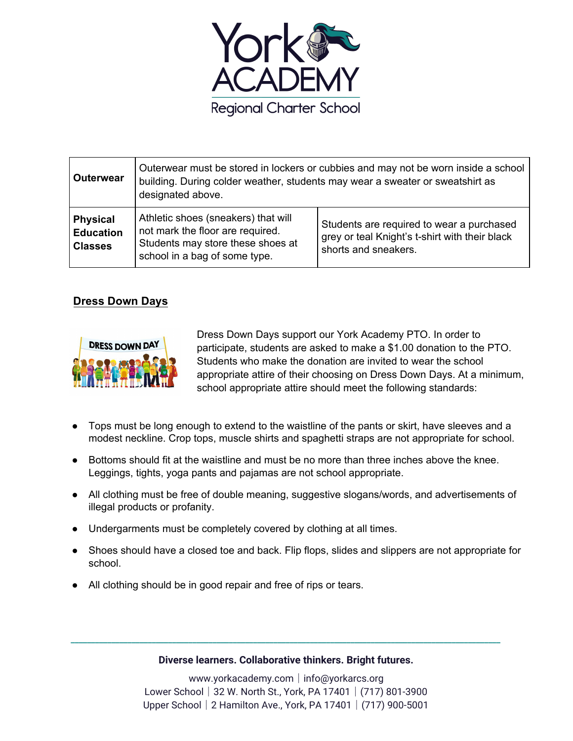

| Outerwear                                             | Outerwear must be stored in lockers or cubbies and may not be worn inside a school<br>building. During colder weather, students may wear a sweater or sweatshirt as<br>designated above. |                                                                                                                     |
|-------------------------------------------------------|------------------------------------------------------------------------------------------------------------------------------------------------------------------------------------------|---------------------------------------------------------------------------------------------------------------------|
| <b>Physical</b><br><b>Education</b><br><b>Classes</b> | Athletic shoes (sneakers) that will<br>not mark the floor are required.<br>Students may store these shoes at<br>school in a bag of some type.                                            | Students are required to wear a purchased<br>grey or teal Knight's t-shirt with their black<br>shorts and sneakers. |

### **Dress Down Days**



Dress Down Days support our York Academy PTO. In order to participate, students are asked to make a \$1.00 donation to the PTO. Students who make the donation are invited to wear the school appropriate attire of their choosing on Dress Down Days. At a minimum, school appropriate attire should meet the following standards:

- Tops must be long enough to extend to the waistline of the pants or skirt, have sleeves and a modest neckline. Crop tops, muscle shirts and spaghetti straps are not appropriate for school.
- Bottoms should fit at the waistline and must be no more than three inches above the knee. Leggings, tights, yoga pants and pajamas are not school appropriate.
- All clothing must be free of double meaning, suggestive slogans/words, and advertisements of illegal products or profanity.
- Undergarments must be completely covered by clothing at all times.
- Shoes should have a closed toe and back. Flip flops, slides and slippers are not appropriate for school.
- All clothing should be in good repair and free of rips or tears.

#### **Diverse learners. Collaborative thinkers. Bright futures.**

**\_\_\_\_\_\_\_\_\_\_\_\_\_\_\_\_\_\_\_\_\_\_\_\_\_\_\_\_\_\_\_\_\_\_\_\_\_\_\_\_\_\_\_\_\_\_\_\_\_\_\_\_\_\_\_\_\_\_\_\_\_\_\_\_\_\_\_\_\_\_\_\_\_\_\_\_\_\_\_\_\_\_\_\_\_\_\_\_\_\_\_\_\_\_\_\_\_\_\_\_\_\_\_\_\_\_**

www.yorkacademy.com│info@yorkarcs.org Lower School│32 W. North St., York, PA 17401│(717) 801-3900 Upper School│2 Hamilton Ave., York, PA 17401│(717) 900-5001